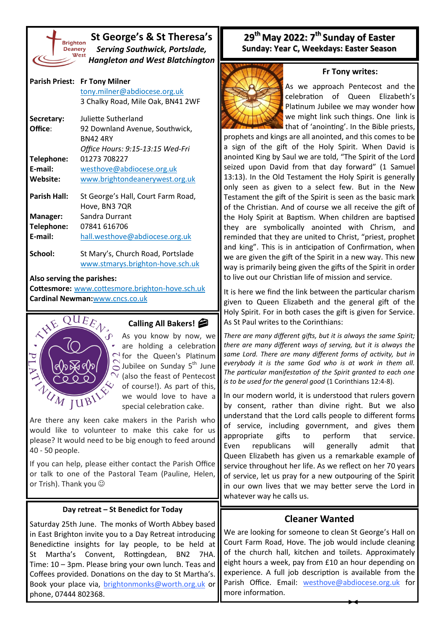

**St George's & St Theresa's** *Serving Southwick, Portslade, Hangleton and West Blatchington*

| <b>Parish Priest:</b> | <b>Fr Tony Milner</b><br>tony.milner@abdiocese.org.uk<br>3 Chalky Road, Mile Oak, BN41 2WF |
|-----------------------|--------------------------------------------------------------------------------------------|
| Secretary:            | Juliette Sutherland                                                                        |
| Office:               | 92 Downland Avenue, Southwick,<br><b>RN42 4RY</b>                                          |
|                       | Office Hours: 9:15-13:15 Wed-Fri                                                           |
| Telephone:            | 01273 708227                                                                               |
| E-mail:               | westhove@abdiocese.org.uk                                                                  |
| Website:              | www.brightondeanerywest.org.uk                                                             |
| <b>Parish Hall:</b>   | St George's Hall, Court Farm Road,<br>Hove, BN3 7QR                                        |
| Manager:              | Sandra Durrant                                                                             |
| Telephone:            | 07841 616706                                                                               |
| E-mail:               | hall.westhove@abdiocese.org.uk                                                             |
| School:               | St Mary's, Church Road, Portslade<br>www.stmarys.brighton-hove.sch.uk                      |
|                       |                                                                                            |

**Also serving the parishes:**

**Cottesmore:** [www.cottesmore.brighton](http://www.cottesmore.brighton-hove.sch.uk)-hove.sch.uk **Cardinal Newman:**[www.cncs.co.uk](https://www.cncs.co.uk/)



## **Calling All Bakers!**

As you know by now, we are holding a celebration for the Queen's Platinum  $\bigcirc$  Jubilee on Sunday 5<sup>th</sup> June (also the feast of Pentecost of course!). As part of this, we would love to have a special celebration cake.

Are there any keen cake makers in the Parish who would like to volunteer to make this cake for us please? It would need to be big enough to feed around 40 - 50 people.

If you can help, please either contact the Parish Office or talk to one of the Pastoral Team (Pauline, Helen, or Trish). Thank you  $\odot$ 

## **Day retreat – St Benedict for Today**

Saturday 25th June. The monks of Worth Abbey based in East Brighton invite you to a Day Retreat introducing Benedictine insights for lay people, to be held at St Martha's Convent, Rottingdean, BN2 7HA. Time: 10 – 3pm. Please bring your own lunch. Teas and Coffees provided. Donations on the day to St Martha's. Book your place via, [brightonmonks@worth.org.uk](mailto:brightonmonks@worth.org.uk) or phone, 07444 802368.

## **29th May 2022: 7th Sunday of Easter Sunday: Year C, Weekdays: Easter Season**



As we approach Pentecost and the celebration of Queen Elizabeth's Platinum Jubilee we may wonder how we might link such things. One link is that of 'anointing'. In the Bible priests,

**Fr Tony writes:**

prophets and kings are all anointed, and this comes to be a sign of the gift of the Holy Spirit. When David is anointed King by Saul we are told, "The Spirit of the Lord seized upon David from that day forward" (1 Samuel 13:13). In the Old Testament the Holy Spirit is generally only seen as given to a select few. But in the New Testament the gift of the Spirit is seen as the basic mark of the Christian. And of course we all receive the gift of the Holy Spirit at Baptism. When children are baptised they are symbolically anointed with Chrism, and reminded that they are united to Christ, "priest, prophet and king". This is in anticipation of Confirmation, when we are given the gift of the Spirit in a new way. This new way is primarily being given the gifts of the Spirit in order to live out our Christian life of mission and service.

It is here we find the link between the particular charism given to Queen Elizabeth and the general gift of the Holy Spirit. For in both cases the gift is given for Service. As St Paul writes to the Corinthians:

*There are many different gifts, but it is always the same Spirit; there are many different ways of serving, but it is always the same Lord. There are many different forms of activity, but in everybody it is the same God who is at work in them all. The particular manifestation of the Spirit granted to each one is to be used for the general good* (1 Corinthians 12:4-8).

In our modern world, it is understood that rulers govern by consent, rather than divine right. But we also understand that the Lord calls people to different forms of service, including government, and gives them appropriate gifts to perform that service. Even republicans will generally admit that Queen Elizabeth has given us a remarkable example of service throughout her life. As we reflect on her 70 years of service, let us pray for a new outpouring of the Spirit in our own lives that we may better serve the Lord in whatever way he calls us.

## **Cleaner Wanted**

We are looking for someone to clean St George's Hall on Court Farm Road, Hove. The job would include cleaning of the church hall, kitchen and toilets. Approximately eight hours a week, pay from £10 an hour depending on experience. A full job description is available from the Parish Office. Email: [westhove@](mailto:westhove@abdiocese.org.uk?subject=westhove@abdiocese.org.uk)[abdiocese.org.uk](mailto:tony.milner@abdiocese.org.uk?subject=I%20am%20interested%20in%20the%20post%20of%20Parish%20Secretary) for more information.